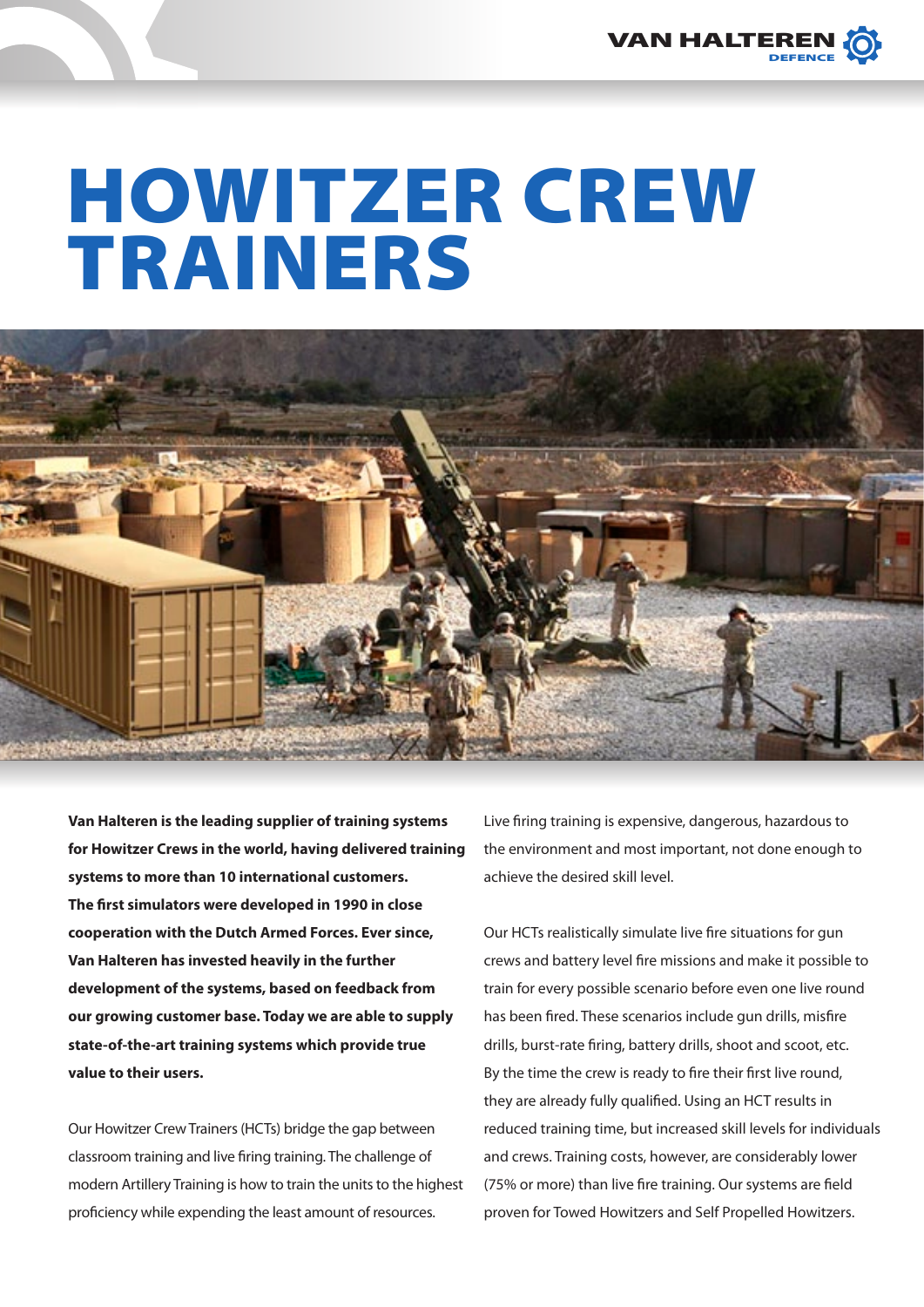

## HOWITZER CREW Trainers



**Van Halteren is the leading supplier of training systems for Howitzer Crews in the world, having delivered training systems to more than 10 international customers. The first simulators were developed in 1990 in close cooperation with the Dutch Armed Forces. Ever since, Van Halteren has invested heavily in the further development of the systems, based on feedback from our growing customer base. Today we are able to supply state-of-the-art training systems which provide true value to their users.** 

Our Howitzer Crew Trainers (HCTs) bridge the gap between classroom training and live firing training. The challenge of modern Artillery Training is how to train the units to the highest proficiency while expending the least amount of resources.

Live firing training is expensive, dangerous, hazardous to the environment and most important, not done enough to achieve the desired skill level.

Our HCTs realistically simulate live fire situations for gun crews and battery level fire missions and make it possible to train for every possible scenario before even one live round has been fired. These scenarios include gun drills, misfire drills, burst-rate firing, battery drills, shoot and scoot, etc. By the time the crew is ready to fire their first live round, they are already fully qualified. Using an HCT results in reduced training time, but increased skill levels for individuals and crews. Training costs, however, are considerably lower (75% or more) than live fire training. Our systems are field proven for Towed Howitzers and Self Propelled Howitzers.